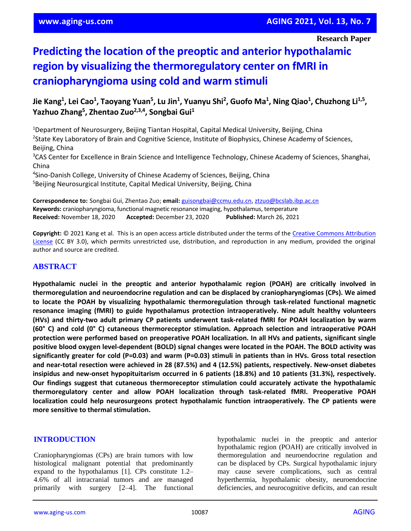**Research Paper**

# **Predicting the location of the preoptic and anterior hypothalamic region by visualizing the thermoregulatory center on fMRI in craniopharyngioma using cold and warm stimuli**

Jie Kang<sup>1</sup>, Lei Cao<sup>1</sup>, Taoyang Yuan<sup>5</sup>, Lu Jin<sup>1</sup>, Yuanyu Shi<sup>2</sup>, Guofo Ma<sup>1</sup>, Ning Qiao<sup>1</sup>, Chuzhong Li<sup>1,5</sup>, **Yazhuo Zhang<sup>5</sup> , Zhentao Zuo2,3,4, Songbai Gui<sup>1</sup>**

<sup>1</sup>Department of Neurosurgery, Beijing Tiantan Hospital, Capital Medical University, Beijing, China <sup>2</sup>State Key Laboratory of Brain and Cognitive Science, Institute of Biophysics, Chinese Academy of Sciences, Beijing, China

<sup>3</sup>CAS Center for Excellence in Brain Science and Intelligence Technology, Chinese Academy of Sciences, Shanghai, China

4 Sino-Danish College, University of Chinese Academy of Sciences, Beijing, China <sup>5</sup>Beijing Neurosurgical Institute, Capital Medical University, Beijing, China

**Correspondence to:** Songbai Gui, Zhentao Zuo; **email:** [guisongbai@ccmu.edu.cn,](mailto:guisongbai@ccmu.edu.cn) [ztzuo@bcslab.ibp.ac.cn](mailto:ztzuo@bcslab.ibp.ac.cn) **Keywords:** craniopharyngioma, functional magnetic resonance imaging, hypothalamus, temperature **Received:** November 18, 2020 **Accepted:** December 23, 2020 **Published:** March 26, 2021

**Copyright:** © 2021 Kang et al. This is an open access article distributed under the terms of the [Creative Commons Attribution](https://creativecommons.org/licenses/by/3.0/)  [License](https://creativecommons.org/licenses/by/3.0/) (CC BY 3.0), which permits unrestricted use, distribution, and reproduction in any medium, provided the original author and source are credited.

# **ABSTRACT**

**Hypothalamic nuclei in the preoptic and anterior hypothalamic region (POAH) are critically involved in thermoregulation and neuroendocrine regulation and can be displaced by craniopharyngiomas (CPs). We aimed to locate the POAH by visualizing hypothalamic thermoregulation through task-related functional magnetic resonance imaging (fMRI) to guide hypothalamus protection intraoperatively. Nine adult healthy volunteers (HVs) and thirty-two adult primary CP patients underwent task-related fMRI for POAH localization by warm (60° C) and cold (0° C) cutaneous thermoreceptor stimulation. Approach selection and intraoperative POAH protection were performed based on preoperative POAH localization. In all HVs and patients, significant single positive blood oxygen level-dependent (BOLD) signal changes were located in the POAH. The BOLD activity was** significantly greater for cold (P=0.03) and warm (P=0.03) stimuli in patients than in HVs. Gross total resection **and near-total resection were achieved in 28 (87.5%) and 4 (12.5%) patients, respectively. New-onset diabetes insipidus and new-onset hypopituitarism occurred in 6 patients (18.8%) and 10 patients (31.3%), respectively. Our findings suggest that cutaneous thermoreceptor stimulation could accurately activate the hypothalamic thermoregulatory center and allow POAH localization through task-related fMRI. Preoperative POAH localization could help neurosurgeons protect hypothalamic function intraoperatively. The CP patients were more sensitive to thermal stimulation.**

# **INTRODUCTION**

Craniopharyngiomas (CPs) are brain tumors with low histological malignant potential that predominantly expand to the hypothalamus [1]. CPs constitute 1.2– 4.6% of all intracranial tumors and are managed primarily with surgery [2–4]. The functional hypothalamic nuclei in the preoptic and anterior hypothalamic region (POAH) are critically involved in thermoregulation and neuroendocrine regulation and can be displaced by CPs. Surgical hypothalamic injury may cause severe complications, such as central hyperthermia, hypothalamic obesity, neuroendocrine deficiencies, and neurocognitive deficits, and can result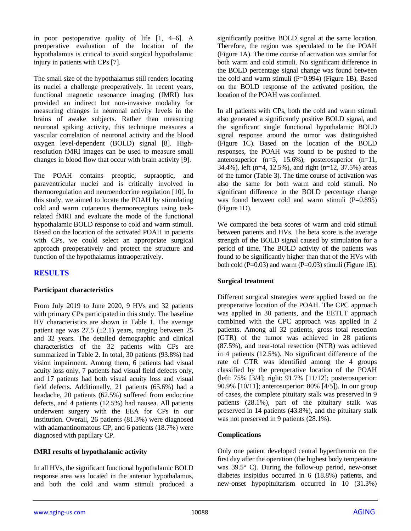in poor postoperative quality of life [1, 4–6]. A preoperative evaluation of the location of the hypothalamus is critical to avoid surgical hypothalamic injury in patients with CPs [7].

The small size of the hypothalamus still renders locating its nuclei a challenge preoperatively. In recent years, functional magnetic resonance imaging (fMRI) has provided an indirect but non-invasive modality for measuring changes in neuronal activity levels in the brains of awake subjects. Rather than measuring neuronal spiking activity, this technique measures a vascular correlation of neuronal activity and the blood oxygen level-dependent (BOLD) signal [8]. Highresolution fMRI images can be used to measure small changes in blood flow that occur with brain activity [9].

The POAH contains preoptic, supraoptic, and paraventricular nuclei and is critically involved in thermoregulation and neuroendocrine regulation [10]. In this study, we aimed to locate the POAH by stimulating cold and warm cutaneous thermoreceptors using taskrelated fMRI and evaluate the mode of the functional hypothalamic BOLD response to cold and warm stimuli. Based on the location of the activated POAH in patients with CPs, we could select an appropriate surgical approach preoperatively and protect the structure and function of the hypothalamus intraoperatively.

# **RESULTS**

# **Participant characteristics**

From July 2019 to June 2020, 9 HVs and 32 patients with primary CPs participated in this study. The baseline HV characteristics are shown in Table 1. The average patient age was  $27.5 \ (\pm 2.1)$  years, ranging between 25 and 32 years. The detailed demographic and clinical characteristics of the 32 patients with CPs are summarized in Table 2. In total, 30 patients (93.8%) had vision impairment. Among them, 6 patients had visual acuity loss only, 7 patients had visual field defects only, and 17 patients had both visual acuity loss and visual field defects. Additionally, 21 patients (65.6%) had a headache, 20 patients (62.5%) suffered from endocrine defects, and 4 patients (12.5%) had nausea. All patients underwent surgery with the EEA for CPs in our institution. Overall, 26 patients (81.3%) were diagnosed with adamantinomatous CP, and 6 patients (18.7%) were diagnosed with papillary CP.

# **fMRI results of hypothalamic activity**

In all HVs, the significant functional hypothalamic BOLD response area was located in the anterior hypothalamus, and both the cold and warm stimuli produced a significantly positive BOLD signal at the same location. Therefore, the region was speculated to be the POAH (Figure 1A). The time course of activation was similar for both warm and cold stimuli. No significant difference in the BOLD percentage signal change was found between the cold and warm stimuli  $(P=0.994)$  (Figure 1B). Based on the BOLD response of the activated position, the location of the POAH was confirmed.

In all patients with CPs, both the cold and warm stimuli also generated a significantly positive BOLD signal, and the significant single functional hypothalamic BOLD signal response around the tumor was distinguished (Figure 1C). Based on the location of the BOLD responses, the POAH was found to be pushed to the anterosuperior (n=5, 15.6%), posterosuperior (n=11, 34.4%), left (n=4, 12.5%), and right (n=12, 37.5%) areas of the tumor (Table 3). The time course of activation was also the same for both warm and cold stimuli. No significant difference in the BOLD percentage change was found between cold and warm stimuli  $(P=0.895)$ (Figure 1D).

We compared the beta scores of warm and cold stimuli between patients and HVs. The beta score is the average strength of the BOLD signal caused by stimulation for a period of time. The BOLD activity of the patients was found to be significantly higher than that of the HVs with both cold  $(P=0.03)$  and warm  $(P=0.03)$  stimuli (Figure 1E).

# **Surgical treatment**

Different surgical strategies were applied based on the preoperative location of the POAH. The CPC approach was applied in 30 patients, and the EETLT approach combined with the CPC approach was applied in 2 patients. Among all 32 patients, gross total resection (GTR) of the tumor was achieved in 28 patients (87.5%), and near-total resection (NTR) was achieved in 4 patients (12.5%). No significant difference of the rate of GTR was identified among the 4 groups classified by the preoperative location of the POAH (left: 75% [3/4]; right: 91.7% [11/12]; posterosuperior: 90.9% [10/11]; anterosuperior: 80% [4/5]). In our group of cases, the complete pituitary stalk was preserved in 9 patients (28.1%), part of the pituitary stalk was preserved in 14 patients (43.8%), and the pituitary stalk was not preserved in 9 patients (28.1%).

# **Complications**

Only one patient developed central hyperthermia on the first day after the operation (the highest body temperature was 39.5° C). During the follow-up period, new-onset diabetes insipidus occurred in 6 (18.8%) patients, and new-onset hypopituitarism occurred in 10 (31.3%)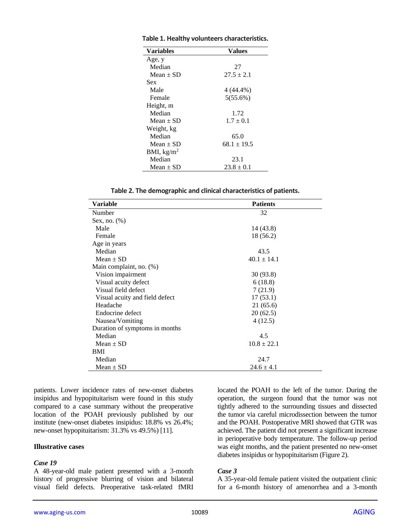| <b>Variables</b> | Values          |  |  |
|------------------|-----------------|--|--|
| Age, y           |                 |  |  |
| Median           | 27              |  |  |
| $Mean \pm SD$    | $27.5 \pm 2.1$  |  |  |
| Sex              |                 |  |  |
| Male             | 4 (44.4%)       |  |  |
| Female           | 5(55.6%)        |  |  |
| Height, m        |                 |  |  |
| Median           | 1.72            |  |  |
| $Mean + SD$      | $1.7 \pm 0.1$   |  |  |
| Weight, kg       |                 |  |  |
| Median           | 65.0            |  |  |
| $Mean + SD$      | $68.1 \pm 19.5$ |  |  |
| BMI, $kg/m2$     |                 |  |  |
| Median           | 23.1            |  |  |
| Mean $\pm$ SD    | $23.8 \pm 0.1$  |  |  |

**Table 1. Healthy volunteers characteristics.**

**Table 2. The demographic and clinical characteristics of patients.**

| Variable                       | <b>Patients</b> |  |  |  |
|--------------------------------|-----------------|--|--|--|
| Number                         | 32              |  |  |  |
| Sex, no. $(\%)$                |                 |  |  |  |
| Male                           | 14 (43.8)       |  |  |  |
| Female                         | 18 (56.2)       |  |  |  |
| Age in years                   |                 |  |  |  |
| Median                         | 43.5            |  |  |  |
| $Mean \pm SD$                  | $40.1 \pm 14.1$ |  |  |  |
| Main complaint, no. (%)        |                 |  |  |  |
| Vision impairment              | 30 (93.8)       |  |  |  |
| Visual acuity defect           | 6(18.8)         |  |  |  |
| Visual field defect            | 7(21.9)         |  |  |  |
| Visual acuity and field defect | 17(53.1)        |  |  |  |
| Headache                       | 21(65.6)        |  |  |  |
| Endocrine defect               | 20(62.5)        |  |  |  |
| Nausea/Vomiting                | 4(12.5)         |  |  |  |
| Duration of symptoms in months |                 |  |  |  |
| Median                         | 4.5             |  |  |  |
| Mean $\pm$ SD                  | $10.8 \pm 22.1$ |  |  |  |
| BMI                            |                 |  |  |  |
| Median                         | 24.7            |  |  |  |
| Mean $\pm$ SD                  | $24.6 \pm 4.1$  |  |  |  |

patients. Lower incidence rates of new-onset diabetes insipidus and hypopituitarism were found in this study compared to a case summary without the preoperative location of the POAH previously published by our institute (new-onset diabetes insipidus: 18.8% vs 26.4%; new-onset hypopituitarism: 31.3% vs 49.5%) [11].

#### **Illustrative cases**

#### *Case 19*

A 48-year-old male patient presented with a 3-month history of progressive blurring of vision and bilateral visual field defects. Preoperative task-related fMRI located the POAH to the left of the tumor. During the operation, the surgeon found that the tumor was not tightly adhered to the surrounding tissues and dissected the tumor via careful microdissection between the tumor and the POAH. Postoperative MRI showed that GTR was achieved. The patient did not present a significant increase in perioperative body temperature. The follow-up period was eight months, and the patient presented no new-onset diabetes insipidus or hypopituitarism (Figure 2).

#### *Case 3*

A 35-year-old female patient visited the outpatient clinic for a 6-month history of amenorrhea and a 3-month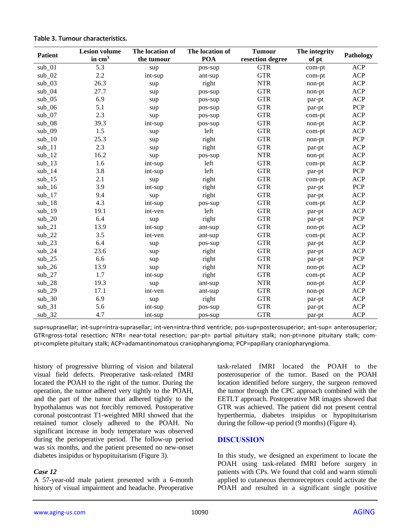| <b>Patient</b> | <b>Lesion volume</b> | The location of | The location of | <b>Tumour</b>    | The integrity |            |
|----------------|----------------------|-----------------|-----------------|------------------|---------------|------------|
|                | in $cm3$             | the tumour      | <b>POA</b>      | resection degree | of pt         | Pathology  |
| $sub_0$        | 5.3                  | sup             | pos-sup         | <b>GTR</b>       | com-pt        | <b>ACP</b> |
| $sub_0$        | 2.2                  | int-sup         | ant-sup         | <b>GTR</b>       | com-pt        | <b>ACP</b> |
| $sub_03$       | 26.3                 | sup             | right           | <b>NTR</b>       | non-pt        | <b>ACP</b> |
| $sub_0$        | 27.7                 | sup             | pos-sup         | <b>GTR</b>       | non-pt        | <b>ACP</b> |
| $sub_0$        | 6.9                  | sup             | pos-sup         | <b>GTR</b>       | par-pt        | <b>ACP</b> |
| $sub_0$ 6      | 5.1                  | sup             | pos-sup         | <b>GTR</b>       | par-pt        | PCP        |
| $sub_0$        | 2.3                  | sup             | pos-sup         | <b>GTR</b>       | com-pt        | <b>ACP</b> |
| $sub_0$ 8      | 39.3                 | int-sup         | pos-sup         | <b>GTR</b>       | non-pt        | <b>ACP</b> |
| $sub_0$        | 1.5                  | sup             | left            | <b>GTR</b>       | com-pt        | <b>ACP</b> |
| $sub_1$ 10     | 25.3                 | sup             | right           | <b>GTR</b>       | non-pt        | PCP        |
| $sub_11$       | 2.3                  | sup             | right           | <b>GTR</b>       | par-pt        | <b>ACP</b> |
| $sub_12$       | 16.2                 | sup             | pos-sup         | <b>NTR</b>       | non-pt        | <b>ACP</b> |
| $sub_13$       | 1.6                  | int-sup         | left            | <b>GTR</b>       | com-pt        | <b>ACP</b> |
| $sub_14$       | 3.8                  | int-sup         | left            | <b>GTR</b>       | par-pt        | <b>PCP</b> |
| $sub_15$       | 2.1                  | sup             | right           | <b>GTR</b>       | com-pt        | <b>ACP</b> |
| $sub_16$       | 3.9                  | int-sup         | right           | <b>GTR</b>       | par-pt        | <b>PCP</b> |
| $sub_17$       | 9.4                  | sup             | right           | <b>GTR</b>       | par-pt        | <b>ACP</b> |
| $sub_18$       | 4.3                  | int-sup         | pos-sup         | <b>GTR</b>       | com-pt        | <b>ACP</b> |
| $sub_1$ 19     | 19.1                 | int-ven         | left            | <b>GTR</b>       | par-pt        | <b>ACP</b> |
| $sub_2$ 20     | 6.4                  | sup             | right           | <b>GTR</b>       | par-pt        | <b>PCP</b> |
| $sub_2$ 21     | 13.9                 | int-sup         | ant-sup         | <b>GTR</b>       | non-pt        | <b>ACP</b> |
| $sub_222$      | 3.5                  | int-ven         | ant-sup         | <b>GTR</b>       | com-pt        | <b>ACP</b> |
| $sub_2$ 23     | 6.4                  | sup             | pos-sup         | <b>GTR</b>       | par-pt        | <b>ACP</b> |
| $sub_2$ 24     | 23.6                 | sup             | right           | <b>GTR</b>       | par-pt        | <b>ACP</b> |
| $sub_225$      | 6.6                  | sup             | right           | <b>GTR</b>       | par-pt        | PCP        |
| $sub_2$ 26     | 13.9                 | sup             | right           | <b>NTR</b>       | non-pt        | <b>ACP</b> |
| $sub_2$        | 1.7                  | int-sup         | right           | <b>GTR</b>       | com-pt        | <b>ACP</b> |
| $sub_2$ 28     | 19.3                 | sup             | ant-sup         | <b>NTR</b>       | non-pt        | <b>ACP</b> |
| $sub_2$ 29     | 17.1                 | int-ven         | ant-sup         | <b>GTR</b>       | non-pt        | <b>ACP</b> |
| $sub_3$ 0      | 6.9                  | sup             | right           | <b>GTR</b>       | par-pt        | <b>ACP</b> |
| $sub_31$       | 5.6                  | int-sup         | pos-sup         | <b>GTR</b>       | par-pt        | <b>ACP</b> |
| $sub_32$       | 4.7                  | int-sup         | pos-sup         | <b>GTR</b>       | par-pt        | <b>ACP</b> |

**Table 3. Tumour characteristics.**

sup=suprasellar; int-supr=intra-suprasellar; int-ven=intra-third ventricle; pos-sup=posterosuperior; ant-sup= anterosuperior; GTR=gross-total resection; NTR= near-total resection; par-pt= partial pituitary stalk; non-pt=none pituitary stalk; compt=complete pituitary stalk; ACP=adamantinomatous craniopharyngioma; PCP=papillary craniopharyngioma.

history of progressive blurring of vision and bilateral visual field defects. Preoperative task-related fMRI located the POAH to the right of the tumor. During the operation, the tumor adhered very tightly to the POAH, and the part of the tumor that adhered tightly to the hypothalamus was not forcibly removed. Postoperative coronal postcontrast T1-weighted MRI showed that the retained tumor closely adhered to the POAH. No significant increase in body temperature was observed during the perioperative period. The follow-up period was six months, and the patient presented no new-onset diabetes insipidus or hypopituitarism (Figure 3).

# *Case 12*

A 57-year-old male patient presented with a 6-month history of visual impairment and headache. Preoperative task-related fMRI located the POAH to the posterosuperior of the tumor. Based on the POAH location identified before surgery, the surgeon removed the tumor through the CPC approach combined with the EETLT approach. Postoperative MR images showed that GTR was achieved. The patient did not present central hyperthermia, diabetes insipidus or hypopituitarism during the follow-up period (9 months) (Figure 4).

# **DISCUSSION**

In this study, we designed an experiment to locate the POAH using task-related fMRI before surgery in patients with CPs. We found that cold and warm stimuli applied to cutaneous thermoreceptors could activate the POAH and resulted in a significant single positive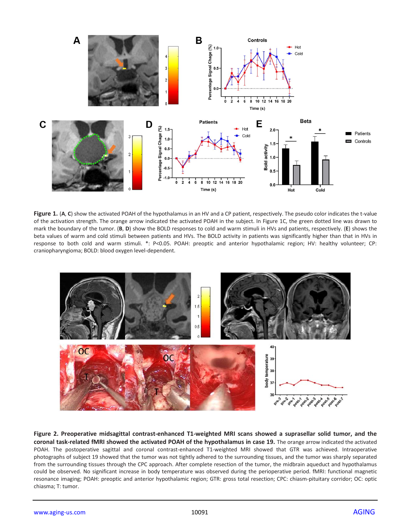

Figure 1. (A, C) show the activated POAH of the hypothalamus in an HV and a CP patient, respectively. The pseudo color indicates the t-value of the activation strength. The orange arrow indicated the activated POAH in the subject. In Figure 1C, the green dotted line was drawn to mark the boundary of the tumor. (**B**, **D**) show the BOLD responses to cold and warm stimuli in HVs and patients, respectively. (**E**) shows the beta values of warm and cold stimuli between patients and HVs. The BOLD activity in patients was significantly higher than that in HVs in response to both cold and warm stimuli. \*: P<0.05. POAH: preoptic and anterior hypothalamic region; HV: healthy volunteer; CP: craniopharyngioma; BOLD: blood oxygen level-dependent.



**Figure 2. Preoperative midsagittal contrast-enhanced T1-weighted MRI scans showed a suprasellar solid tumor, and the coronal task-related fMRI showed the activated POAH of the hypothalamus in case 19.** The orange arrow indicated the activated POAH. The postoperative sagittal and coronal contrast-enhanced T1-weighted MRI showed that GTR was achieved. Intraoperative photographs of subject 19 showed that the tumor was not tightly adhered to the surrounding tissues, and the tumor was sharply separated from the surrounding tissues through the CPC approach. After complete resection of the tumor, the midbrain aqueduct and hypothalamus could be observed. No significant increase in body temperature was observed during the perioperative period. fMRI: functional magnetic resonance imaging; POAH: preoptic and anterior hypothalamic region; GTR: gross total resection; CPC: chiasm-pituitary corridor; OC: optic chiasma; T: tumor.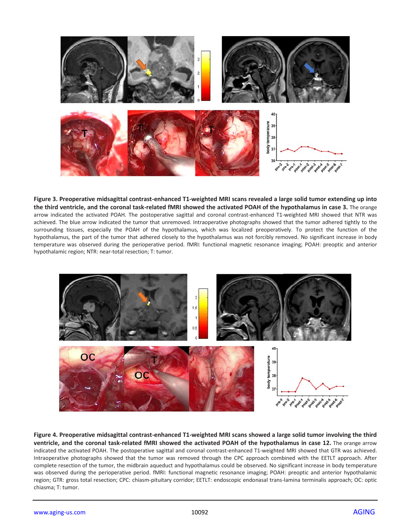

**Figure 3. Preoperative midsagittal contrast-enhanced T1-weighted MRI scans revealed a large solid tumor extending up into the third ventricle, and the coronal task-related fMRI showed the activated POAH of the hypothalamus in case 3.** The orange arrow indicated the activated POAH. The postoperative sagittal and coronal contrast-enhanced T1-weighted MRI showed that NTR was achieved. The blue arrow indicated the tumor that unremoved. Intraoperative photographs showed that the tumor adhered tightly to the surrounding tissues, especially the POAH of the hypothalamus, which was localized preoperatively. To protect the function of the hypothalamus, the part of the tumor that adhered closely to the hypothalamus was not forcibly removed. No significant increase in body temperature was observed during the perioperative period. fMRI: functional magnetic resonance imaging; POAH: preoptic and anterior hypothalamic region; NTR: near-total resection; T: tumor.



**Figure 4. Preoperative midsagittal contrast-enhanced T1-weighted MRI scans showed a large solid tumor involving the third ventricle, and the coronal task-related fMRI showed the activated POAH of the hypothalamus in case 12.** The orange arrow indicated the activated POAH. The postoperative sagittal and coronal contrast-enhanced T1-weighted MRI showed that GTR was achieved. Intraoperative photographs showed that the tumor was removed through the CPC approach combined with the EETLT approach. After complete resection of the tumor, the midbrain aqueduct and hypothalamus could be observed. No significant increase in body temperature was observed during the perioperative period. fMRI: functional magnetic resonance imaging; POAH: preoptic and anterior hypothalamic region; GTR: gross total resection; CPC: chiasm-pituitary corridor; EETLT: endoscopic endonasal trans-lamina terminalis approach; OC: optic chiasma; T: tumor.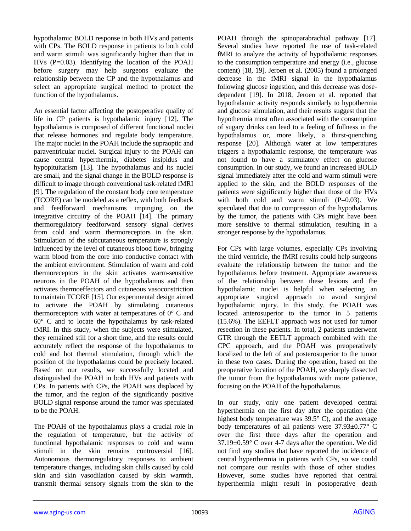hypothalamic BOLD response in both HVs and patients with CPs. The BOLD response in patients to both cold and warm stimuli was significantly higher than that in HVs (P=0.03). Identifying the location of the POAH before surgery may help surgeons evaluate the relationship between the CP and the hypothalamus and select an appropriate surgical method to protect the function of the hypothalamus.

An essential factor affecting the postoperative quality of life in CP patients is hypothalamic injury [12]. The hypothalamus is composed of different functional nuclei that release hormones and regulate body temperature. The major nuclei in the POAH include the supraoptic and paraventricular nuclei. Surgical injury to the POAH can cause central hyperthermia, diabetes insipidus and hypopituitarism [13]. The hypothalamus and its nuclei are small, and the signal change in the BOLD response is difficult to image through conventional task-related fMRI [9]. The regulation of the constant body core temperature (TCORE) can be modeled as a reflex, with both feedback and feedforward mechanisms impinging on the integrative circuitry of the POAH [14]. The primary thermoregulatory feedforward sensory signal derives from cold and warm thermoreceptors in the skin. Stimulation of the subcutaneous temperature is strongly influenced by the level of cutaneous blood flow, bringing warm blood from the core into conductive contact with the ambient environment. Stimulation of warm and cold thermoreceptors in the skin activates warm-sensitive neurons in the POAH of the hypothalamus and then activates thermoeffectors and cutaneous vasoconstriction to maintain TCORE [15]. Our experimental design aimed to activate the POAH by stimulating cutaneous thermoreceptors with water at temperatures of  $0^{\circ}$  C and 60° C and to locate the hypothalamus by task-related fMRI. In this study, when the subjects were stimulated, they remained still for a short time, and the results could accurately reflect the response of the hypothalamus to cold and hot thermal stimulation, through which the position of the hypothalamus could be precisely located. Based on our results, we successfully located and distinguished the POAH in both HVs and patients with CPs. In patients with CPs, the POAH was displaced by the tumor, and the region of the significantly positive BOLD signal response around the tumor was speculated to be the POAH.

The POAH of the hypothalamus plays a crucial role in the regulation of temperature, but the activity of functional hypothalamic responses to cold and warm stimuli in the skin remains controversial [16]. Autonomous thermoregulatory responses to ambient temperature changes, including skin chills caused by cold skin and skin vasodilation caused by skin warmth, transmit thermal sensory signals from the skin to the

POAH through the spinoparabrachial pathway [17]. Several studies have reported the use of task-related fMRI to analyze the activity of hypothalamic responses to the consumption temperature and energy (i.e., glucose content) [18, 19]. Jeroen et al. (2005) found a prolonged decrease in the fMRI signal in the hypothalamus following glucose ingestion, and this decrease was dosedependent [19]. In 2018, Jeroen et al. reported that hypothalamic activity responds similarly to hypothermia and glucose stimulation, and their results suggest that the hypothermia most often associated with the consumption of sugary drinks can lead to a feeling of fullness in the hypothalamus or, more likely, a thirst-quenching response [20]. Although water at low temperatures triggers a hypothalamic response, the temperature was not found to have a stimulatory effect on glucose consumption. In our study, we found an increased BOLD signal immediately after the cold and warm stimuli were applied to the skin, and the BOLD responses of the patients were significantly higher than those of the HVs with both cold and warm stimuli  $(P=0.03)$ . We speculated that due to compression of the hypothalamus by the tumor, the patients with CPs might have been more sensitive to thermal stimulation, resulting in a stronger response by the hypothalamus.

For CPs with large volumes, especially CPs involving the third ventricle, the fMRI results could help surgeons evaluate the relationship between the tumor and the hypothalamus before treatment. Appropriate awareness of the relationship between these lesions and the hypothalamic nuclei is helpful when selecting an appropriate surgical approach to avoid surgical hypothalamic injury. In this study, the POAH was located anterosuperior to the tumor in 5 patients (15.6%). The EEFLT approach was not used for tumor resection in these patients. In total, 2 patients underwent GTR through the EETLT approach combined with the CPC approach, and the POAH was preoperatively localized to the left of and posterosuperior to the tumor in these two cases. During the operation, based on the preoperative location of the POAH, we sharply dissected the tumor from the hypothalamus with more patience, focusing on the POAH of the hypothalamus.

In our study, only one patient developed central hyperthermia on the first day after the operation (the highest body temperature was  $39.5^{\circ}$  C), and the average body temperatures of all patients were 37.93±0.77° C over the first three days after the operation and 37.19±0.59° C over 4-7 days after the operation. We did not find any studies that have reported the incidence of central hyperthermia in patients with CPs, so we could not compare our results with those of other studies. However, some studies have reported that central hyperthermia might result in postoperative death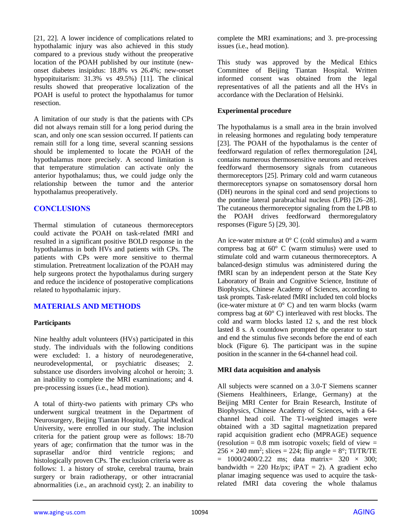[21, 22]. A lower incidence of complications related to hypothalamic injury was also achieved in this study compared to a previous study without the preoperative location of the POAH published by our institute (newonset diabetes insipidus: 18.8% vs 26.4%; new-onset hypopituitarism: 31.3% vs 49.5%) [11]. The clinical results showed that preoperative localization of the POAH is useful to protect the hypothalamus for tumor resection.

A limitation of our study is that the patients with CPs did not always remain still for a long period during the scan, and only one scan session occurred. If patients can remain still for a long time, several scanning sessions should be implemented to locate the POAH of the hypothalamus more precisely. A second limitation is that temperature stimulation can activate only the anterior hypothalamus; thus, we could judge only the relationship between the tumor and the anterior hypothalamus preoperatively.

# **CONCLUSIONS**

Thermal stimulation of cutaneous thermoreceptors could activate the POAH on task-related fMRI and resulted in a significant positive BOLD response in the hypothalamus in both HVs and patients with CPs. The patients with CPs were more sensitive to thermal stimulation. Pretreatment localization of the POAH may help surgeons protect the hypothalamus during surgery and reduce the incidence of postoperative complications related to hypothalamic injury.

# **MATERIALS AND METHODS**

# **Participants**

Nine healthy adult volunteers (HVs) participated in this study. The individuals with the following conditions were excluded: 1. a history of neurodegenerative, neurodevelopmental, or psychiatric diseases; 2. substance use disorders involving alcohol or heroin; 3. an inability to complete the MRI examinations; and 4. pre-processing issues (i.e., head motion).

A total of thirty-two patients with primary CPs who underwent surgical treatment in the Department of Neurosurgery, Beijing Tiantan Hospital, Capital Medical University, were enrolled in our study. The inclusion criteria for the patient group were as follows: 18-70 years of age; confirmation that the tumor was in the suprasellar and/or third ventricle regions; and histologically proven CPs. The exclusion criteria were as follows: 1. a history of stroke, cerebral trauma, brain surgery or brain radiotherapy, or other intracranial abnormalities (i.e., an arachnoid cyst); 2. an inability to

complete the MRI examinations; and 3. pre-processing issues (i.e., head motion).

This study was approved by the Medical Ethics Committee of Beijing Tiantan Hospital. Written informed consent was obtained from the legal representatives of all the patients and all the HVs in accordance with the Declaration of Helsinki.

# **Experimental procedure**

The hypothalamus is a small area in the brain involved in releasing hormones and regulating body temperature [23]. The POAH of the hypothalamus is the center of feedforward regulation of reflex thermoregulation [24], contains numerous thermosensitive neurons and receives feedforward thermosensory signals from cutaneous thermoreceptors [25]. Primary cold and warm cutaneous thermoreceptors synapse on somatosensory dorsal horn (DH) neurons in the spinal cord and send projections to the pontine lateral parabrachial nucleus (LPB) [26–28]. The cutaneous thermoreceptor signaling from the LPB to the POAH drives feedforward thermoregulatory responses (Figure 5) [29, 30].

An ice-water mixture at  $0^{\circ}$  C (cold stimulus) and a warm compress bag at  $60^{\circ}$  C (warm stimulus) were used to stimulate cold and warm cutaneous thermoreceptors. A balanced-design stimulus was administered during the fMRI scan by an independent person at the State Key Laboratory of Brain and Cognitive Science, Institute of Biophysics, Chinese Academy of Sciences, according to task prompts. Task-related fMRI included ten cold blocks (ice-water mixture at  $0^{\circ}$  C) and ten warm blocks (warm compress bag at 60° C) interleaved with rest blocks. The cold and warm blocks lasted 12 s, and the rest block lasted 8 s. A countdown prompted the operator to start and end the stimulus five seconds before the end of each block (Figure 6). The participant was in the supine position in the scanner in the 64-channel head coil.

# **MRI data acquisition and analysis**

All subjects were scanned on a 3.0-T Siemens scanner (Siemens Healthineers, Erlange, Germany) at the Beijing MRI Center for Brain Research, Institute of Biophysics, Chinese Academy of Sciences, with a 64 channel head coil. The T1-weighted images were obtained with a 3D sagittal magnetization prepared rapid acquisition gradient echo (MPRAGE) sequence (resolution  $= 0.8$  mm isotropic voxels; field of view  $=$  $256 \times 240$  mm<sup>2</sup>; slices = 224; flip angle =  $8^\circ$ ; TI/TR/TE  $= 1000/2400/2.22$  ms; data matrix= 320  $\times$  300; bandwidth = 220 Hz/px; iPAT = 2). A gradient echo planar imaging sequence was used to acquire the taskrelated fMRI data covering the whole thalamus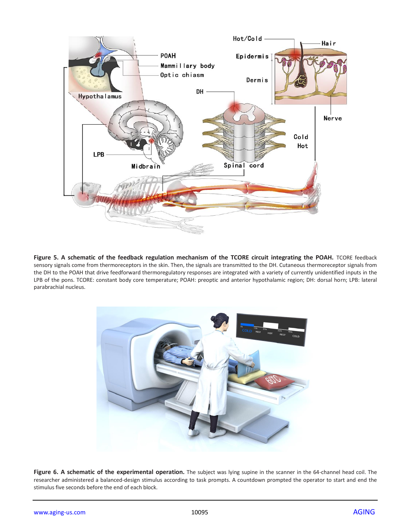

Figure 5. A schematic of the feedback regulation mechanism of the TCORE circuit integrating the POAH. TCORE feedback sensory signals come from thermoreceptors in the skin. Then, the signals are transmitted to the DH. Cutaneous thermoreceptor signals from the DH to the POAH that drive feedforward thermoregulatory responses are integrated with a variety of currently unidentified inputs in the LPB of the pons. TCORE: constant body core temperature; POAH: preoptic and anterior hypothalamic region; DH: dorsal horn; LPB: lateral parabrachial nucleus.



Figure 6. A schematic of the experimental operation. The subject was lying supine in the scanner in the 64-channel head coil. The researcher administered a balanced-design stimulus according to task prompts. A countdown prompted the operator to start and end the stimulus five seconds before the end of each block.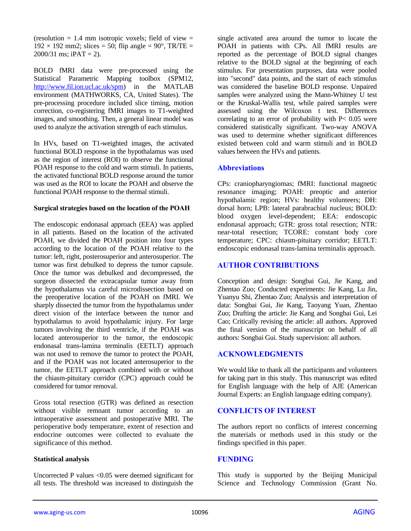(resolution  $= 1.4$  mm isotropic voxels; field of view  $=$  $192 \times 192$  mm2; slices = 50; flip angle = 90°, TR/TE =  $2000/31$  ms; iPAT = 2).

BOLD fMRI data were pre-processed using the Statistical Parametric Mapping toolbox (SPM12, [http://www.fil.ion.ucl.ac.uk/spm\)](http://www.fil.ion.ucl.ac.uk/spm) in the MATLAB environment (MATHWORKS, CA, United States). The pre-processing procedure included slice timing, motion correction, co-registering fMRI images to T1-weighted images, and smoothing. Then, a general linear model was used to analyze the activation strength of each stimulus.

In HVs, based on T1-weighted images, the activated functional BOLD response in the hypothalamus was used as the region of interest (ROI) to observe the functional POAH response to the cold and warm stimuli. In patients, the activated functional BOLD response around the tumor was used as the ROI to locate the POAH and observe the functional POAH response to the thermal stimuli.

#### **Surgical strategies based on the location of the POAH**

The endoscopic endonasal approach (EEA) was applied in all patients. Based on the location of the activated POAH, we divided the POAH position into four types according to the location of the POAH relative to the tumor: left, right, posterosuperior and anterosuperior. The tumor was first debulked to depress the tumor capsule. Once the tumor was debulked and decompressed, the surgeon dissected the extracapsular tumor away from the hypothalamus via careful microdissection based on the preoperative location of the POAH on fMRI. We sharply dissected the tumor from the hypothalamus under direct vision of the interface between the tumor and hypothalamus to avoid hypothalamic injury. For large tumors involving the third ventricle, if the POAH was located anterosuperior to the tumor, the endoscopic endonasal trans-lamina terminalis (EETLT) approach was not used to remove the tumor to protect the POAH, and if the POAH was not located anterosuperior to the tumor, the EETLT approach combined with or without the chiasm-pituitary corridor (CPC) approach could be considered for tumor removal.

Gross total resection (GTR) was defined as resection without visible remnant tumor according to an intraoperative assessment and postoperative MRI. The perioperative body temperature, extent of resection and endocrine outcomes were collected to evaluate the significance of this method.

# **Statistical analysis**

Uncorrected P values <0.05 were deemed significant for all tests. The threshold was increased to distinguish the single activated area around the tumor to locate the POAH in patients with CPs. All fMRI results are reported as the percentage of BOLD signal changes relative to the BOLD signal at the beginning of each stimulus. For presentation purposes, data were pooled into "second" data points, and the start of each stimulus was considered the baseline BOLD response. Unpaired samples were analyzed using the Mann-Whitney U test or the Kruskal-Wallis test, while paired samples were assessed using the Wilcoxon t test. Differences correlating to an error of probability with  $P < 0.05$  were considered statistically significant. Two-way ANOVA was used to determine whether significant differences existed between cold and warm stimuli and in BOLD values between the HVs and patients.

# **Abbreviations**

CPs: craniopharyngiomas; fMRI: functional magnetic resonance imaging; POAH: preoptic and anterior hypothalamic region; HVs: healthy volunteers; DH: dorsal horn; LPB: lateral parabrachial nucleus; BOLD: blood oxygen level-dependent; EEA: endoscopic endonasal approach; GTR: gross total resection; NTR: near-total resection; TCORE: constant body core temperature; CPC: chiasm-pituitary corridor; EETLT: endoscopic endonasal trans-lamina terminalis approach.

# **AUTHOR CONTRIBUTIONS**

Conception and design: Songbai Gui, Jie Kang, and Zhentao Zuo; Conducted experiments: Jie Kang, Lu Jin, Yuanyu Shi, Zhentao Zuo; Analysis and interpretation of data: Songbai Gui, Jie Kang, Taoyang Yuan, Zhentao Zuo; Drafting the article: Jie Kang and Songbai Gui, Lei Cao; Critically revising the article: all authors. Approved the final version of the manuscript on behalf of all authors: Songbai Gui. Study supervision: all authors.

# **ACKNOWLEDGMENTS**

We would like to thank all the participants and volunteers for taking part in this study. This manuscript was edited for English language with the help of AJE (American Journal Experts: an English language editing company).

# **CONFLICTS OF INTEREST**

The authors report no conflicts of interest concerning the materials or methods used in this study or the findings specified in this paper.

# **FUNDING**

This study is supported by the Beijing Municipal Science and Technology Commission (Grant No.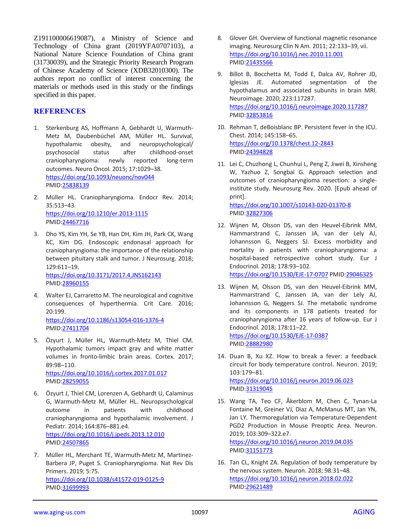Z191100006619087), a Ministry of Science and Technology of China grant (2019YFA0707103), a National Nature Science Foundation of China grant (31730039), and the Strategic Priority Research Program of Chinese Academy of Science (XDB32010300). The authors report no conflict of interest concerning the materials or methods used in this study or the findings specified in this paper.

# **REFERENCES**

- 1. Sterkenburg AS, Hoffmann A, Gebhardt U, Warmuth-Metz M, Daubenbüchel AM, Müller HL. Survival, hypothalamic obesity, and neuropsychological/ psychosocial status after childhood-onset craniopharyngioma: newly reported long-term outcomes. Neuro Oncol. 2015; 17:1029–38. <https://doi.org/10.1093/neuonc/nov044> PMID[:25838139](https://pubmed.ncbi.nlm.nih.gov/25838139)
- 2. Müller HL. Craniopharyngioma. Endocr Rev. 2014; 35:513–43. <https://doi.org/10.1210/er.2013-1115> PMID[:24467716](https://pubmed.ncbi.nlm.nih.gov/24467716)
- 3. Dho YS, Kim YH, Se YB, Han DH, Kim JH, Park CK, Wang KC, Kim DG. Endoscopic endonasal approach for craniopharyngioma: the importance of the relationship between pituitary stalk and tumor. J Neurosurg. 2018; 129:611–19. <https://doi.org/10.3171/2017.4.JNS162143> PMID[:28960155](https://pubmed.ncbi.nlm.nih.gov/28960155)
- 4. Walter EJ, Carraretto M. The neurological and cognitive consequences of hyperthermia. Crit Care. 2016; 20:199. <https://doi.org/10.1186/s13054-016-1376-4> PMID[:27411704](https://pubmed.ncbi.nlm.nih.gov/27411704)
- 5. Özyurt J, Müller HL, Warmuth-Metz M, Thiel CM. Hypothalamic tumors impact gray and white matter volumes in fronto-limbic brain areas. Cortex. 2017; 89:98–110. <https://doi.org/10.1016/j.cortex.2017.01.017>

PMID[:28259055](https://pubmed.ncbi.nlm.nih.gov/28259055)

- 6. Özyurt J, Thiel CM, Lorenzen A, Gebhardt U, Calaminus G, Warmuth-Metz M, Müller HL. Neuropsychological outcome in patients with childhood craniopharyngioma and hypothalamic involvement. J Pediatr. 2014; 164:876–881.e4. <https://doi.org/10.1016/j.jpeds.2013.12.010> PMID[:24507865](https://pubmed.ncbi.nlm.nih.gov/24507865)
- 7. Müller HL, Merchant TE, Warmuth-Metz M, Martinez-Barbera JP, Puget S. Craniopharyngioma. Nat Rev Dis Primers. 2019; 5:75. <https://doi.org/10.1038/s41572-019-0125-9> PMID[:31699993](https://pubmed.ncbi.nlm.nih.gov/31699993)
- 8. Glover GH. Overview of functional magnetic resonance imaging. Neurosurg Clin N Am. 2011; 22:133–39, vii. <https://doi.org/10.1016/j.nec.2010.11.001> PMI[D:21435566](https://pubmed.ncbi.nlm.nih.gov/21435566)
- 9. Billot B, Bocchetta M, Todd E, Dalca AV, Rohrer JD, Iglesias JE. Automated segmentation of the hypothalamus and associated subunits in brain MRI. Neuroimage. 2020; 223:117287. <https://doi.org/10.1016/j.neuroimage.2020.117287> PMI[D:32853816](https://pubmed.ncbi.nlm.nih.gov/32853816)
- 10. Rehman T, deBoisblanc BP. Persistent fever in the ICU. Chest. 2014; 145:158–65. <https://doi.org/10.1378/chest.12-2843> PMI[D:24394828](https://pubmed.ncbi.nlm.nih.gov/24394828)
- 11. Lei C, Chuzhong L, Chunhui L, Peng Z, Jiwei B, Xinsheng W, Yazhuo Z, Songbai G. Approach selection and outcomes of craniopharyngioma resection: a singleinstitute study. Neurosurg Rev. 2020. [Epub ahead of print].

<https://doi.org/10.1007/s10143-020-01370-8> PMI[D:32827306](https://pubmed.ncbi.nlm.nih.gov/32827306)

- 12. Wijnen M, Olsson DS, van den Heuvel-Eibrink MM, Hammarstrand C, Janssen JA, van der Lely AJ, Johannsson G, Neggers SJ. Excess morbidity and mortality in patients with craniopharyngioma: a hospital-based retrospective cohort study. Eur J Endocrinol. 2018; 178:93–102. <https://doi.org/10.1530/EJE-17-0707> PMI[D:29046325](https://pubmed.ncbi.nlm.nih.gov/29046325)
- 13. Wijnen M, Olsson DS, van den Heuvel-Eibrink MM, Hammarstrand C, Janssen JA, van der Lely AJ, Johannsson G, Neggers SJ. The metabolic syndrome and its components in 178 patients treated for craniopharyngioma after 16 years of follow-up. Eur J Endocrinol. 2018; 178:11–22. <https://doi.org/10.1530/EJE-17-0387> PMI[D:28882980](https://pubmed.ncbi.nlm.nih.gov/28882980)
- 14. Duan B, Xu XZ. How to break a fever: a feedback circuit for body temperature control. Neuron. 2019; 103:179–81.

<https://doi.org/10.1016/j.neuron.2019.06.023> PMI[D:31319045](https://pubmed.ncbi.nlm.nih.gov/31319045)

- 15. Wang TA, Teo CF, Åkerblom M, Chen C, Tynan-La Fontaine M, Greiner VJ, Diaz A, McManus MT, Jan YN, Jan LY. Thermoregulation via Temperature-Dependent PGD2 Production in Mouse Preoptic Area. Neuron. 2019; 103:309–322.e7. <https://doi.org/10.1016/j.neuron.2019.04.035> PMID: 31151773
- 16. Tan CL, Knight ZA. Regulation of body temperature by the nervous system. Neuron. 2018; 98:31–48. <https://doi.org/10.1016/j.neuron.2018.02.022> PMI[D:29621489](https://pubmed.ncbi.nlm.nih.gov/29621489)